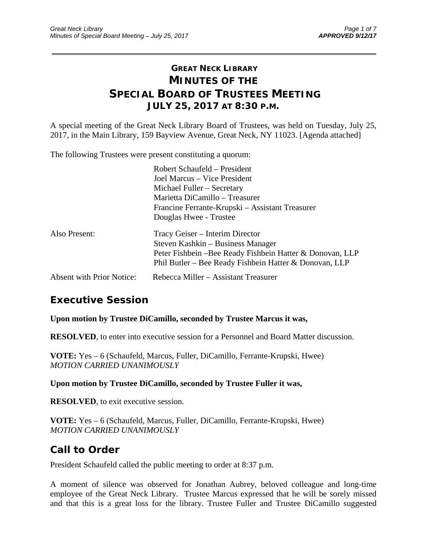# **GREAT NECK LIBRARY MINUTES OF THE SPECIAL BOARD OF TRUSTEES MEETING JULY 25, 2017 AT 8:30 P.M.**

\_\_\_\_\_\_\_\_\_\_\_\_\_\_\_\_\_\_\_\_\_\_\_\_\_\_\_\_\_\_\_\_\_\_\_\_\_\_\_\_\_\_\_\_\_\_\_\_\_\_\_\_\_\_\_\_\_\_\_\_\_\_\_\_\_\_\_\_\_\_\_\_\_\_\_\_\_\_\_\_\_\_\_\_\_\_\_\_\_\_\_\_\_

A special meeting of the Great Neck Library Board of Trustees, was held on Tuesday, July 25, 2017, in the Main Library, 159 Bayview Avenue, Great Neck, NY 11023. [Agenda attached]

The following Trustees were present constituting a quorum:

|                                  | Robert Schaufeld – President<br>Joel Marcus – Vice President<br>Michael Fuller - Secretary<br>Marietta DiCamillo - Treasurer<br>Francine Ferrante-Krupski – Assistant Treasurer<br>Douglas Hwee - Trustee |
|----------------------------------|-----------------------------------------------------------------------------------------------------------------------------------------------------------------------------------------------------------|
| Also Present:                    | Tracy Geiser – Interim Director<br>Steven Kashkin – Business Manager<br>Peter Fishbein - Bee Ready Fishbein Hatter & Donovan, LLP<br>Phil Butler – Bee Ready Fishbein Hatter & Donovan, LLP               |
| <b>Absent with Prior Notice:</b> | Rebecca Miller - Assistant Treasurer                                                                                                                                                                      |

### **Executive Session**

**Upon motion by Trustee DiCamillo, seconded by Trustee Marcus it was,** 

**RESOLVED**, to enter into executive session for a Personnel and Board Matter discussion.

**VOTE:** Yes – 6 (Schaufeld, Marcus, Fuller, DiCamillo, Ferrante-Krupski, Hwee) *MOTION CARRIED UNANIMOUSLY* 

**Upon motion by Trustee DiCamillo, seconded by Trustee Fuller it was,** 

**RESOLVED**, to exit executive session.

**VOTE:** Yes – 6 (Schaufeld, Marcus, Fuller, DiCamillo, Ferrante-Krupski, Hwee) *MOTION CARRIED UNANIMOUSLY*

#### **Call to Order**

President Schaufeld called the public meeting to order at 8:37 p.m.

A moment of silence was observed for Jonathan Aubrey, beloved colleague and long-time employee of the Great Neck Library. Trustee Marcus expressed that he will be sorely missed and that this is a great loss for the library. Trustee Fuller and Trustee DiCamillo suggested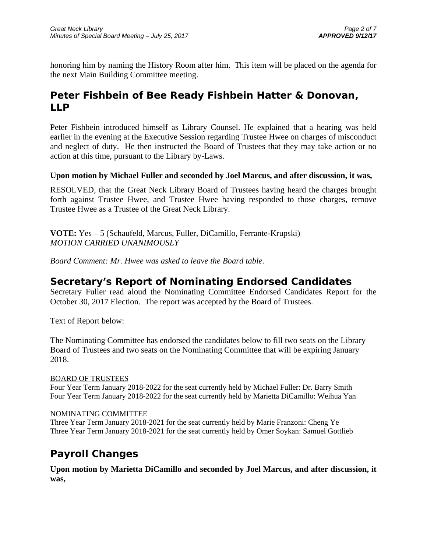honoring him by naming the History Room after him. This item will be placed on the agenda for the next Main Building Committee meeting.

# **Peter Fishbein of Bee Ready Fishbein Hatter & Donovan, LLP**

Peter Fishbein introduced himself as Library Counsel. He explained that a hearing was held earlier in the evening at the Executive Session regarding Trustee Hwee on charges of misconduct and neglect of duty. He then instructed the Board of Trustees that they may take action or no action at this time, pursuant to the Library by-Laws.

#### **Upon motion by Michael Fuller and seconded by Joel Marcus, and after discussion, it was,**

RESOLVED, that the Great Neck Library Board of Trustees having heard the charges brought forth against Trustee Hwee, and Trustee Hwee having responded to those charges, remove Trustee Hwee as a Trustee of the Great Neck Library.

**VOTE:** Yes – 5 (Schaufeld, Marcus, Fuller, DiCamillo, Ferrante-Krupski) *MOTION CARRIED UNANIMOUSLY* 

*Board Comment: Mr. Hwee was asked to leave the Board table.* 

### **Secretary's Report of Nominating Endorsed Candidates**

Secretary Fuller read aloud the Nominating Committee Endorsed Candidates Report for the October 30, 2017 Election. The report was accepted by the Board of Trustees.

Text of Report below:

The Nominating Committee has endorsed the candidates below to fill two seats on the Library Board of Trustees and two seats on the Nominating Committee that will be expiring January 2018.

#### BOARD OF TRUSTEES

Four Year Term January 2018-2022 for the seat currently held by Michael Fuller: Dr. Barry Smith Four Year Term January 2018-2022 for the seat currently held by Marietta DiCamillo: Weihua Yan

#### NOMINATING COMMITTEE

Three Year Term January 2018-2021 for the seat currently held by Marie Franzoni: Cheng Ye Three Year Term January 2018-2021 for the seat currently held by Omer Soykan: Samuel Gottlieb

# **Payroll Changes**

**Upon motion by Marietta DiCamillo and seconded by Joel Marcus, and after discussion, it was,**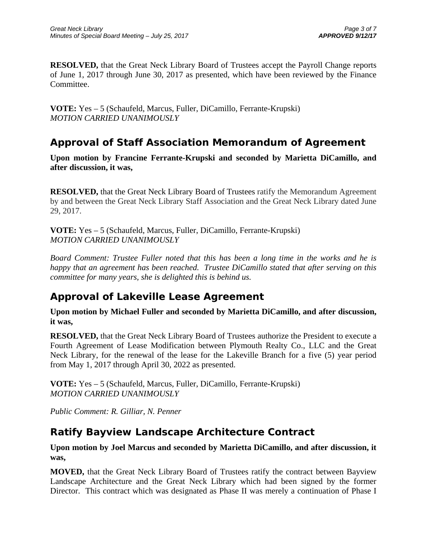**RESOLVED,** that the Great Neck Library Board of Trustees accept the Payroll Change reports of June 1, 2017 through June 30, 2017 as presented, which have been reviewed by the Finance Committee.

**VOTE:** Yes – 5 (Schaufeld, Marcus, Fuller, DiCamillo, Ferrante-Krupski) *MOTION CARRIED UNANIMOUSLY* 

# **Approval of Staff Association Memorandum of Agreement**

**Upon motion by Francine Ferrante-Krupski and seconded by Marietta DiCamillo, and after discussion, it was,** 

**RESOLVED,** that the Great Neck Library Board of Trustees ratify the Memorandum Agreement by and between the Great Neck Library Staff Association and the Great Neck Library dated June 29, 2017.

**VOTE:** Yes – 5 (Schaufeld, Marcus, Fuller, DiCamillo, Ferrante-Krupski) *MOTION CARRIED UNANIMOUSLY* 

*Board Comment: Trustee Fuller noted that this has been a long time in the works and he is happy that an agreement has been reached. Trustee DiCamillo stated that after serving on this committee for many years, she is delighted this is behind us.* 

# **Approval of Lakeville Lease Agreement**

**Upon motion by Michael Fuller and seconded by Marietta DiCamillo, and after discussion, it was,** 

**RESOLVED,** that the Great Neck Library Board of Trustees authorize the President to execute a Fourth Agreement of Lease Modification between Plymouth Realty Co., LLC and the Great Neck Library, for the renewal of the lease for the Lakeville Branch for a five (5) year period from May 1, 2017 through April 30, 2022 as presented.

**VOTE:** Yes – 5 (Schaufeld, Marcus, Fuller, DiCamillo, Ferrante-Krupski) *MOTION CARRIED UNANIMOUSLY* 

*Public Comment: R. Gilliar, N. Penner* 

### **Ratify Bayview Landscape Architecture Contract**

**Upon motion by Joel Marcus and seconded by Marietta DiCamillo, and after discussion, it was,** 

**MOVED,** that the Great Neck Library Board of Trustees ratify the contract between Bayview Landscape Architecture and the Great Neck Library which had been signed by the former Director. This contract which was designated as Phase II was merely a continuation of Phase I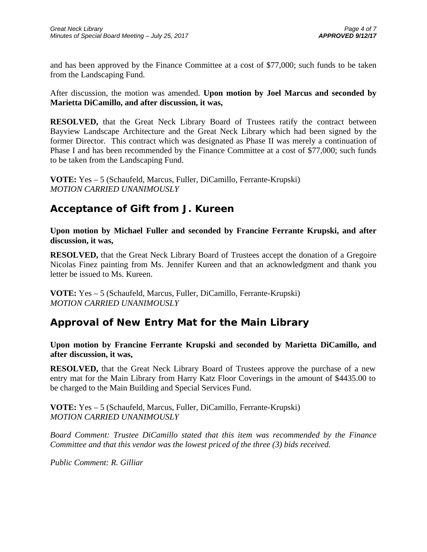and has been approved by the Finance Committee at a cost of \$77,000; such funds to be taken from the Landscaping Fund.

After discussion, the motion was amended. **Upon motion by Joel Marcus and seconded by Marietta DiCamillo, and after discussion, it was,** 

**RESOLVED,** that the Great Neck Library Board of Trustees ratify the contract between Bayview Landscape Architecture and the Great Neck Library which had been signed by the former Director. This contract which was designated as Phase II was merely a continuation of Phase I and has been recommended by the Finance Committee at a cost of \$77,000; such funds to be taken from the Landscaping Fund.

**VOTE:** Yes – 5 (Schaufeld, Marcus, Fuller, DiCamillo, Ferrante-Krupski) *MOTION CARRIED UNANIMOUSLY* 

### **Acceptance of Gift from J. Kureen**

**Upon motion by Michael Fuller and seconded by Francine Ferrante Krupski, and after discussion, it was,** 

**RESOLVED,** that the Great Neck Library Board of Trustees accept the donation of a Gregoire Nicolas Finez painting from Ms. Jennifer Kureen and that an acknowledgment and thank you letter be issued to Ms. Kureen.

**VOTE:** Yes – 5 (Schaufeld, Marcus, Fuller, DiCamillo, Ferrante-Krupski) *MOTION CARRIED UNANIMOUSLY* 

# **Approval of New Entry Mat for the Main Library**

**Upon motion by Francine Ferrante Krupski and seconded by Marietta DiCamillo, and after discussion, it was,** 

**RESOLVED,** that the Great Neck Library Board of Trustees approve the purchase of a new entry mat for the Main Library from Harry Katz Floor Coverings in the amount of \$4435.00 to be charged to the Main Building and Special Services Fund.

**VOTE:** Yes – 5 (Schaufeld, Marcus, Fuller, DiCamillo, Ferrante-Krupski) *MOTION CARRIED UNANIMOUSLY* 

*Board Comment: Trustee DiCamillo stated that this item was recommended by the Finance Committee and that this vendor was the lowest priced of the three (3) bids received.* 

*Public Comment: R. Gilliar*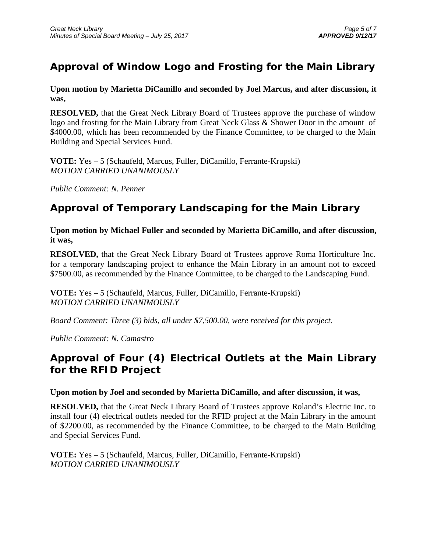# **Approval of Window Logo and Frosting for the Main Library**

**Upon motion by Marietta DiCamillo and seconded by Joel Marcus, and after discussion, it was,** 

**RESOLVED,** that the Great Neck Library Board of Trustees approve the purchase of window logo and frosting for the Main Library from Great Neck Glass & Shower Door in the amount of \$4000.00, which has been recommended by the Finance Committee, to be charged to the Main Building and Special Services Fund.

**VOTE:** Yes – 5 (Schaufeld, Marcus, Fuller, DiCamillo, Ferrante-Krupski) *MOTION CARRIED UNANIMOUSLY* 

*Public Comment: N. Penner* 

### **Approval of Temporary Landscaping for the Main Library**

**Upon motion by Michael Fuller and seconded by Marietta DiCamillo, and after discussion, it was,** 

**RESOLVED,** that the Great Neck Library Board of Trustees approve Roma Horticulture Inc. for a temporary landscaping project to enhance the Main Library in an amount not to exceed \$7500.00, as recommended by the Finance Committee, to be charged to the Landscaping Fund.

**VOTE:** Yes – 5 (Schaufeld, Marcus, Fuller, DiCamillo, Ferrante-Krupski) *MOTION CARRIED UNANIMOUSLY* 

*Board Comment: Three (3) bids, all under \$7,500.00, were received for this project.* 

*Public Comment: N. Camastro* 

# **Approval of Four (4) Electrical Outlets at the Main Library for the RFID Project**

#### **Upon motion by Joel and seconded by Marietta DiCamillo, and after discussion, it was,**

**RESOLVED,** that the Great Neck Library Board of Trustees approve Roland's Electric Inc. to install four (4) electrical outlets needed for the RFID project at the Main Library in the amount of \$2200.00, as recommended by the Finance Committee, to be charged to the Main Building and Special Services Fund.

**VOTE:** Yes – 5 (Schaufeld, Marcus, Fuller, DiCamillo, Ferrante-Krupski) *MOTION CARRIED UNANIMOUSLY*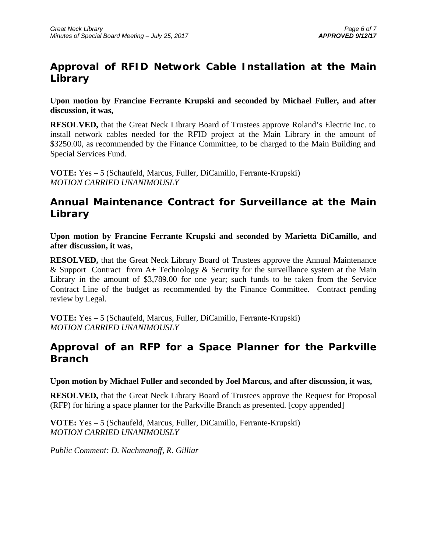# **Approval of RFID Network Cable Installation at the Main Library**

**Upon motion by Francine Ferrante Krupski and seconded by Michael Fuller, and after discussion, it was,** 

**RESOLVED,** that the Great Neck Library Board of Trustees approve Roland's Electric Inc. to install network cables needed for the RFID project at the Main Library in the amount of \$3250.00, as recommended by the Finance Committee, to be charged to the Main Building and Special Services Fund.

**VOTE:** Yes – 5 (Schaufeld, Marcus, Fuller, DiCamillo, Ferrante-Krupski) *MOTION CARRIED UNANIMOUSLY* 

## **Annual Maintenance Contract for Surveillance at the Main Library**

**Upon motion by Francine Ferrante Krupski and seconded by Marietta DiCamillo, and after discussion, it was,** 

**RESOLVED,** that the Great Neck Library Board of Trustees approve the Annual Maintenance & Support Contract from  $A+$  Technology & Security for the surveillance system at the Main Library in the amount of \$3,789.00 for one year; such funds to be taken from the Service Contract Line of the budget as recommended by the Finance Committee. Contract pending review by Legal.

**VOTE:** Yes – 5 (Schaufeld, Marcus, Fuller, DiCamillo, Ferrante-Krupski) *MOTION CARRIED UNANIMOUSLY* 

### **Approval of an RFP for a Space Planner for the Parkville Branch**

**Upon motion by Michael Fuller and seconded by Joel Marcus, and after discussion, it was,** 

**RESOLVED,** that the Great Neck Library Board of Trustees approve the Request for Proposal (RFP) for hiring a space planner for the Parkville Branch as presented. [copy appended]

**VOTE:** Yes – 5 (Schaufeld, Marcus, Fuller, DiCamillo, Ferrante-Krupski) *MOTION CARRIED UNANIMOUSLY* 

*Public Comment: D. Nachmanoff, R. Gilliar*